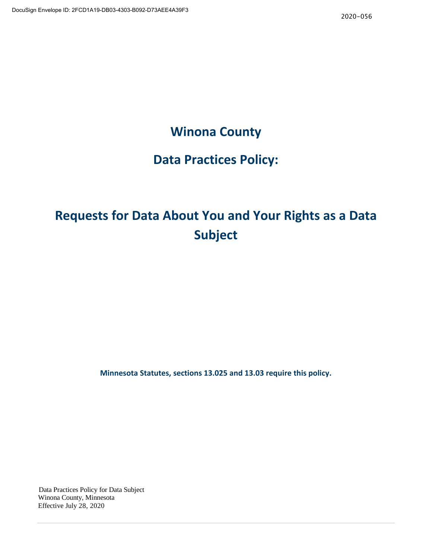# **Winona County**

# **Data Practices Policy:**

# **Requests for Data About You and Your Rights as a Data Subject**

**Minnesota Statutes, sections 13.025 and 13.03 require this policy.**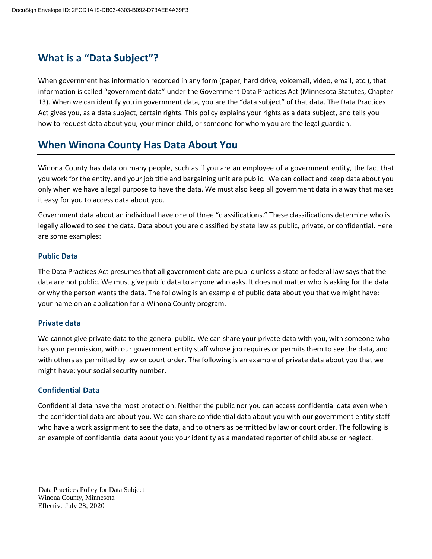### **What is a "Data Subject"?**

When government has information recorded in any form (paper, hard drive, voicemail, video, email, etc.), that information is called "government data" under the Government Data Practices Act (Minnesota Statutes, Chapter 13). When we can identify you in government data, you are the "data subject" of that data. The Data Practices Act gives you, as a data subject, certain rights. This policy explains your rights as a data subject, and tells you how to request data about you, your minor child, or someone for whom you are the legal guardian.

### **When Winona County Has Data About You**

Winona County has data on many people, such as if you are an employee of a government entity, the fact that you work for the entity, and your job title and bargaining unit are public. We can collect and keep data about you only when we have a legal purpose to have the data. We must also keep all government data in a way that makes it easy for you to access data about you.

Government data about an individual have one of three "classifications." These classifications determine who is legally allowed to see the data. Data about you are classified by state law as public, private, or confidential. Here are some examples:

#### **Public Data**

The Data Practices Act presumes that all government data are public unless a state or federal law says that the data are not public. We must give public data to anyone who asks. It does not matter who is asking for the data or why the person wants the data. The following is an example of public data about you that we might have: your name on an application for a Winona County program.

#### **Private data**

We cannot give private data to the general public. We can share your private data with you, with someone who has your permission, with our government entity staff whose job requires or permits them to see the data, and with others as permitted by law or court order. The following is an example of private data about you that we might have: your social security number.

#### **Confidential Data**

Confidential data have the most protection. Neither the public nor you can access confidential data even when the confidential data are about you. We can share confidential data about you with our government entity staff who have a work assignment to see the data, and to others as permitted by law or court order. The following is an example of confidential data about you: your identity as a mandated reporter of child abuse or neglect.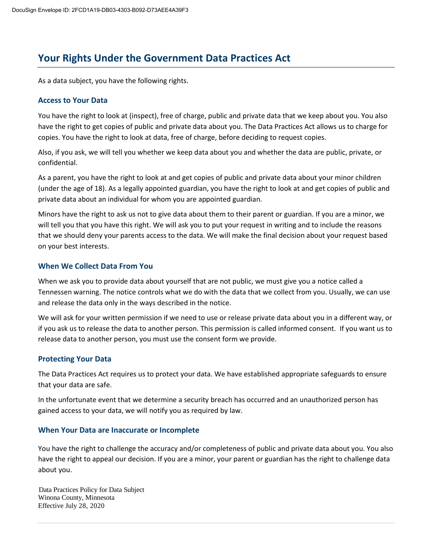# **Your Rights Under the Government Data Practices Act**

As a data subject, you have the following rights.

### **Access to Your Data**

You have the right to look at (inspect), free of charge, public and private data that we keep about you. You also have the right to get copies of public and private data about you. The Data Practices Act allows us to charge for copies. You have the right to look at data, free of charge, before deciding to request copies.

Also, if you ask, we will tell you whether we keep data about you and whether the data are public, private, or confidential.

As a parent, you have the right to look at and get copies of public and private data about your minor children (under the age of 18). As a legally appointed guardian, you have the right to look at and get copies of public and private data about an individual for whom you are appointed guardian.

Minors have the right to ask us not to give data about them to their parent or guardian. If you are a minor, we will tell you that you have this right. We will ask you to put your request in writing and to include the reasons that we should deny your parents access to the data. We will make the final decision about your request based on your best interests.

### **When We Collect Data From You**

When we ask you to provide data about yourself that are not public, we must give you a notice called a Tennessen warning. The notice controls what we do with the data that we collect from you. Usually, we can use and release the data only in the ways described in the notice.

We will ask for your written permission if we need to use or release private data about you in a different way, or if you ask us to release the data to another person. This permission is called informed consent. If you want us to release data to another person, you must use the consent form we provide.

### **Protecting Your Data**

The Data Practices Act requires us to protect your data. We have established appropriate safeguards to ensure that your data are safe.

In the unfortunate event that we determine a security breach has occurred and an unauthorized person has gained access to your data, we will notify you as required by law.

### **When Your Data are Inaccurate or Incomplete**

You have the right to challenge the accuracy and/or completeness of public and private data about you. You also have the right to appeal our decision. If you are a minor, your parent or guardian has the right to challenge data about you.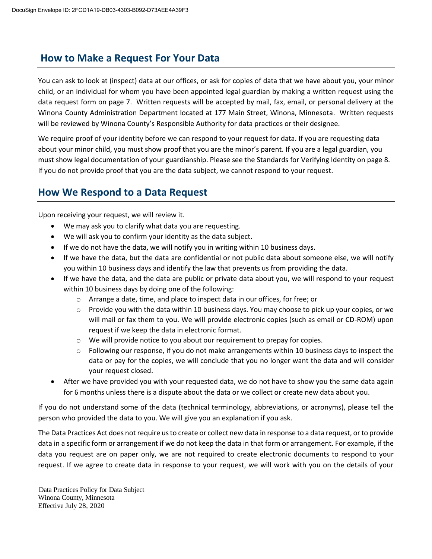### **How to Make a Request For Your Data**

You can ask to look at (inspect) data at our offices, or ask for copies of data that we have about you, your minor child, or an individual for whom you have been appointed legal guardian by making a written request using the data request form on page 7. Written requests will be accepted by mail, fax, email, or personal delivery at the Winona County Administration Department located at 177 Main Street, Winona, Minnesota. Written requests will be reviewed by Winona County's Responsible Authority for data practices or their designee.

We require proof of your identity before we can respond to your request for data. If you are requesting data about your minor child, you must show proof that you are the minor's parent. If you are a legal guardian, you must show legal documentation of your guardianship. Please see the Standards for Verifying Identity on page 8. If you do not provide proof that you are the data subject, we cannot respond to your request.

### **How We Respond to a Data Request**

Upon receiving your request, we will review it.

- We may ask you to clarify what data you are requesting.
- We will ask you to confirm your identity as the data subject.
- If we do not have the data, we will notify you in writing within 10 business days.
- If we have the data, but the data are confidential or not public data about someone else, we will notify you within 10 business days and identify the law that prevents us from providing the data.
- If we have the data, and the data are public or private data about you, we will respond to your request within 10 business days by doing one of the following:
	- o Arrange a date, time, and place to inspect data in our offices, for free; or
	- $\circ$  Provide you with the data within 10 business days. You may choose to pick up your copies, or we will mail or fax them to you. We will provide electronic copies (such as email or CD-ROM) upon request if we keep the data in electronic format.
	- $\circ$  We will provide notice to you about our requirement to prepay for copies.
	- $\circ$  Following our response, if you do not make arrangements within 10 business days to inspect the data or pay for the copies, we will conclude that you no longer want the data and will consider your request closed.
- After we have provided you with your requested data, we do not have to show you the same data again for 6 months unless there is a dispute about the data or we collect or create new data about you.

If you do not understand some of the data (technical terminology, abbreviations, or acronyms), please tell the person who provided the data to you. We will give you an explanation if you ask.

The Data Practices Act does not require us to create or collect new data in response to a data request, or to provide data in a specific form or arrangement if we do not keep the data in that form or arrangement. For example, if the data you request are on paper only, we are not required to create electronic documents to respond to your request. If we agree to create data in response to your request, we will work with you on the details of your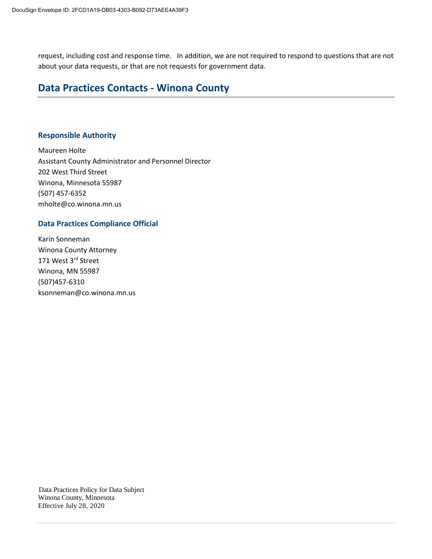request, including cost and response time. In addition, we are not required to respond to questions that are not about your data requests, or that are not requests for government data.

### **Data Practices Contacts - Winona County**

#### **Responsible Authority**

Maureen Holte Assistant County Administrator and Personnel Director 202 West Third Street Winona, Minnesota 55987 (507) 457-6352 mholte@co.winona.mn.us

### **Data Practices Compliance Official**

Karin Sonneman Winona County Attorney 171 West 3rd Street Winona, MN 55987 (507)457-6310 ksonneman@co.winona.mn.us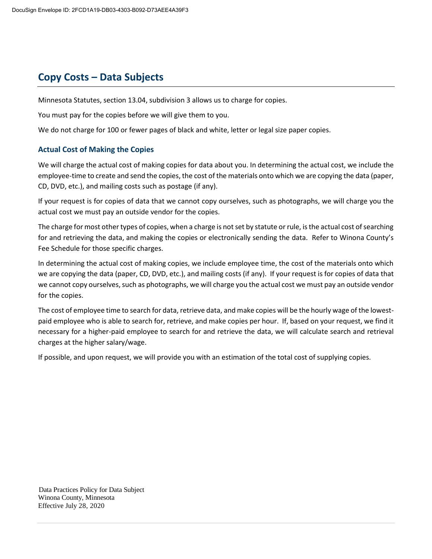## **Copy Costs – Data Subjects**

Minnesota Statutes, section 13.04, subdivision 3 allows us to charge for copies.

You must pay for the copies before we will give them to you.

We do not charge for 100 or fewer pages of black and white, letter or legal size paper copies.

### **Actual Cost of Making the Copies**

We will charge the actual cost of making copies for data about you. In determining the actual cost, we include the employee-time to create and send the copies, the cost of the materials onto which we are copying the data (paper, CD, DVD, etc.), and mailing costs such as postage (if any).

If your request is for copies of data that we cannot copy ourselves, such as photographs, we will charge you the actual cost we must pay an outside vendor for the copies.

The charge for most other types of copies, when a charge is not set by statute or rule, is the actual cost of searching for and retrieving the data, and making the copies or electronically sending the data. Refer to Winona County's Fee Schedule for those specific charges.

In determining the actual cost of making copies, we include employee time, the cost of the materials onto which we are copying the data (paper, CD, DVD, etc.), and mailing costs (if any). If your request is for copies of data that we cannot copy ourselves, such as photographs, we will charge you the actual cost we must pay an outside vendor for the copies.

The cost of employee time to search for data, retrieve data, and make copies will be the hourly wage of the lowestpaid employee who is able to search for, retrieve, and make copies per hour. If, based on your request, we find it necessary for a higher-paid employee to search for and retrieve the data, we will calculate search and retrieval charges at the higher salary/wage.

If possible, and upon request, we will provide you with an estimation of the total cost of supplying copies.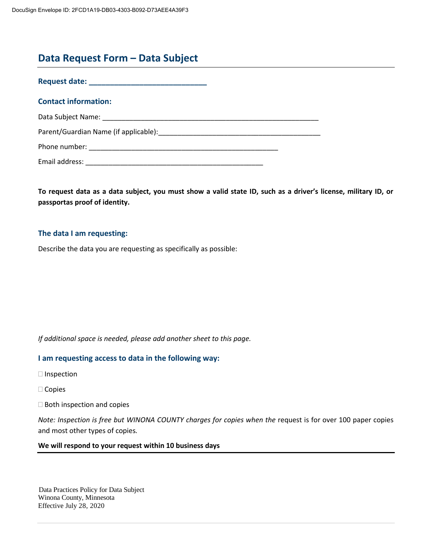### **Data Request Form – Data Subject**

**Request date: \_\_\_\_\_\_\_\_\_\_\_\_\_\_\_\_\_\_\_\_\_\_\_\_\_\_\_\_**

#### **Contact information:**

| Data Subject Name: |  |
|--------------------|--|
|                    |  |

Parent/Guardian Name (if applicable):\_\_\_\_\_\_\_\_\_\_\_\_\_\_\_\_\_\_\_\_\_\_\_\_\_\_\_\_\_\_\_\_\_\_\_\_\_\_\_\_\_\_

Phone number: \_\_\_\_\_\_\_\_\_\_\_\_\_\_\_\_\_\_\_\_\_\_\_\_\_\_\_\_\_\_\_\_\_\_\_\_\_\_\_\_\_\_\_\_\_\_\_\_\_

Email address: \_\_\_\_\_\_\_\_\_\_\_\_\_\_\_\_\_\_\_\_\_\_\_\_\_\_\_\_\_\_\_\_\_\_\_\_\_\_\_\_\_\_\_\_\_\_

**To request data as a data subject, you must show a valid state ID, such as a driver's license, military ID, or passportas proof of identity.**

### **The data I am requesting:**

Describe the data you are requesting as specifically as possible:

*If additional space is needed, please add another sheet to this page.*

#### **I am requesting access to data in the following way:**

- $\square$  Inspection
- □ Copies
- $\Box$  Both inspection and copies

*Note: Inspection is free but WINONA COUNTY charges for copies when the* request is for over 100 paper copies and most other types of copies*.*

#### **We will respond to your request within 10 business days**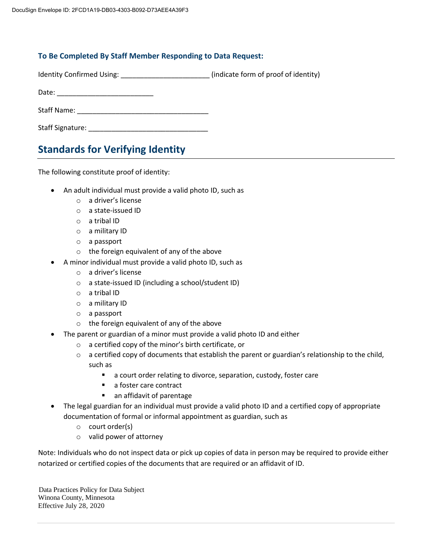### **To Be Completed By Staff Member Responding to Data Request:**

Identity Confirmed Using: \_\_\_\_\_\_\_\_\_\_\_\_\_\_\_\_\_\_\_\_\_\_\_\_\_\_ (indicate form of proof of identity)

Date: \_\_\_\_\_\_\_\_\_\_\_\_\_\_\_\_\_\_\_\_\_\_\_\_\_

Staff Name: \_\_\_\_\_\_\_\_\_\_\_\_\_\_\_\_\_\_\_\_\_\_\_\_\_\_\_\_\_\_\_\_\_\_

Staff Signature: \_\_\_\_\_\_\_\_\_\_\_\_\_\_\_\_\_\_\_\_\_\_\_\_\_\_\_\_\_\_\_

# **Standards for Verifying Identity**

The following constitute proof of identity:

- An adult individual must provide a valid photo ID, such as
	- o a driver's license
	- o a state-issued ID
	- o a tribal ID
	- o a military ID
	- o a passport
	- o the foreign equivalent of any of the above
- A minor individual must provide a valid photo ID, such as
	- o a driver's license
	- o a state-issued ID (including a school/student ID)
	- o a tribal ID
	- o a military ID
	- o a passport
	- o the foreign equivalent of any of the above
- The parent or guardian of a minor must provide a valid photo ID and either
	- o a certified copy of the minor's birth certificate, or
	- $\circ$  a certified copy of documents that establish the parent or guardian's relationship to the child, such as
		- **a** court order relating to divorce, separation, custody, foster care
		- a foster care contract
		- **an affidavit of parentage**
- The legal guardian for an individual must provide a valid photo ID and a certified copy of appropriate documentation of formal or informal appointment as guardian, such as
	- o court order(s)
	- o valid power of attorney

Note: Individuals who do not inspect data or pick up copies of data in person may be required to provide either notarized or certified copies of the documents that are required or an affidavit of ID.